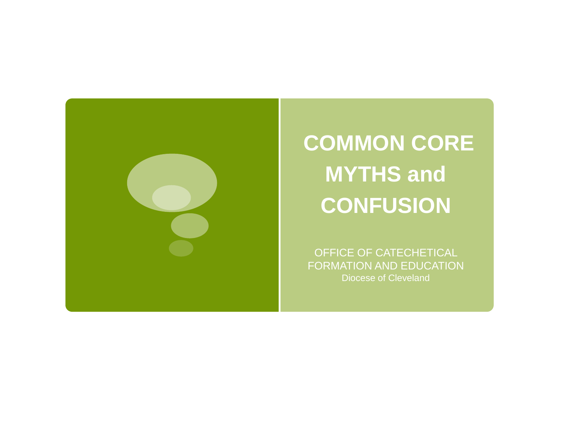

# **COMMON CORE MYTHS and CONFUSION**

OFFICE OF CATECHETICAL FORMATION AND EDUCATION Diocese of Cleveland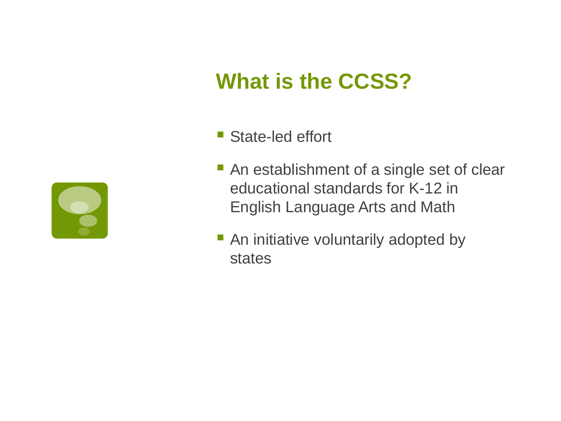# **What is the CCSS?**



- **An establishment of a single set of clear** educational standards for K-12 in English Language Arts and Math
- An initiative voluntarily adopted by states

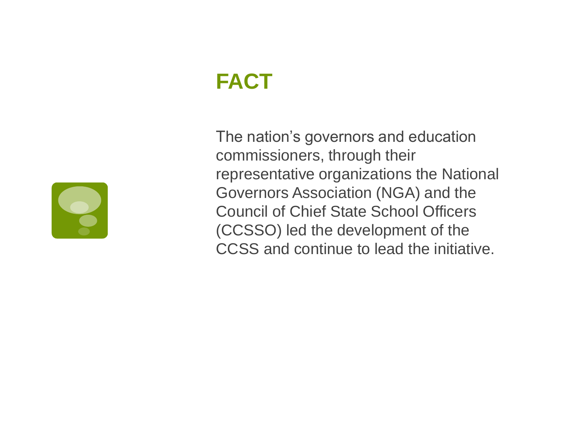The nation's governors and education commissioners, through their representative organizations the National Governors Association (NGA) and the Council of Chief State School Officers (CCSSO) led the development of the CCSS and continue to lead the initiative.

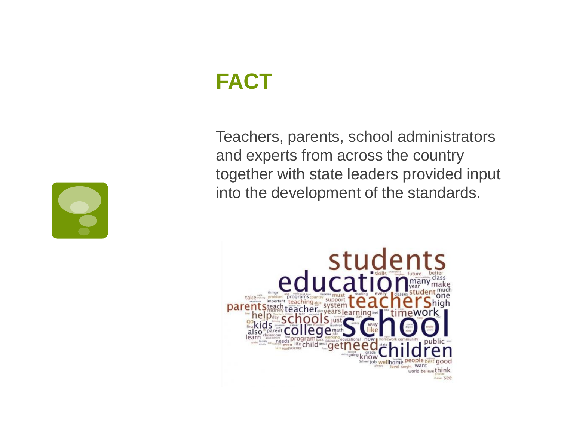Teachers, parents, school administrators and experts from across the country together with state leaders provided input into the development of the standards.



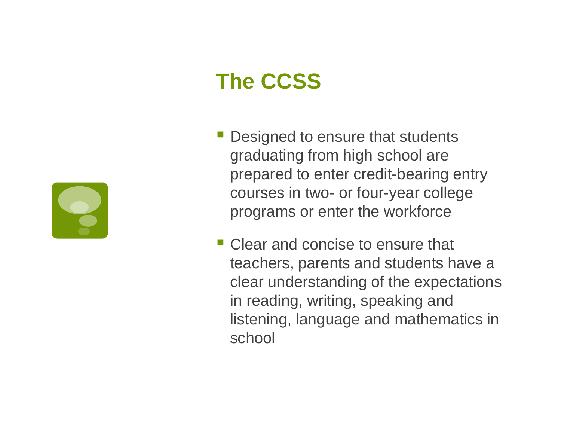# **The CCSS**

- Designed to ensure that students graduating from high school are prepared to enter credit-bearing entry courses in two- or four-year college programs or enter the workforce
- **Clear and concise to ensure that** teachers, parents and students have a clear understanding of the expectations in reading, writing, speaking and listening, language and mathematics in school

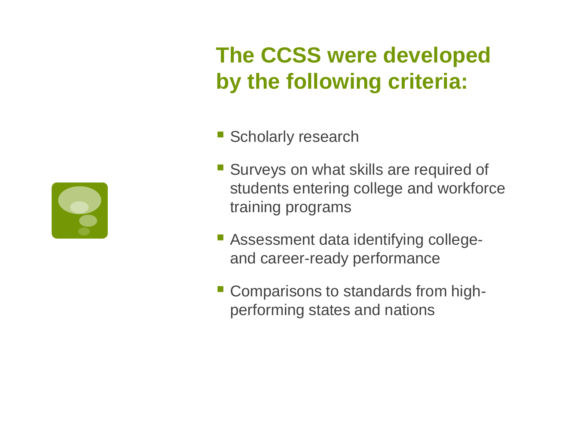

# **The CCSS were developed by the following criteria:**

- **Scholarly research**
- **Surveys on what skills are required of** students entering college and workforce training programs
- Assessment data identifying collegeand career-ready performance
- **Comparisons to standards from high**performing states and nations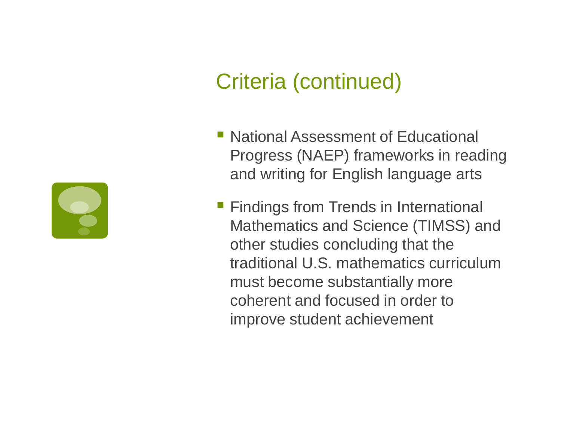

### Criteria (continued)

- National Assessment of Educational Progress (NAEP) frameworks in reading and writing for English language arts
- Findings from Trends in International Mathematics and Science (TIMSS) and other studies concluding that the traditional U.S. mathematics curriculum must become substantially more coherent and focused in order to improve student achievement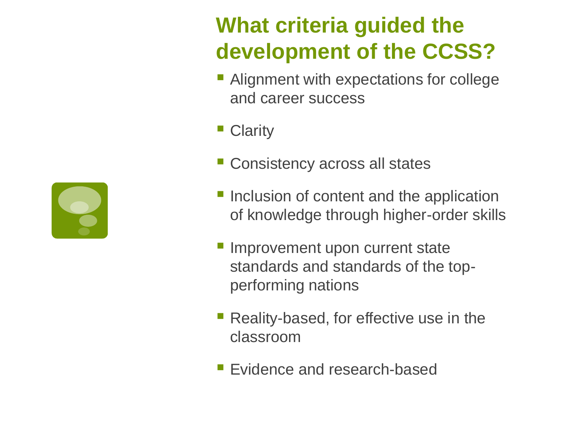# **What criteria guided the development of the CCSS?**

- **Alignment with expectations for college** and career success
- Clarity
- **Consistency across all states**
- Inclusion of content and the application of knowledge through higher-order skills
- Improvement upon current state standards and standards of the topperforming nations
- Reality-based, for effective use in the classroom
- **Evidence and research-based**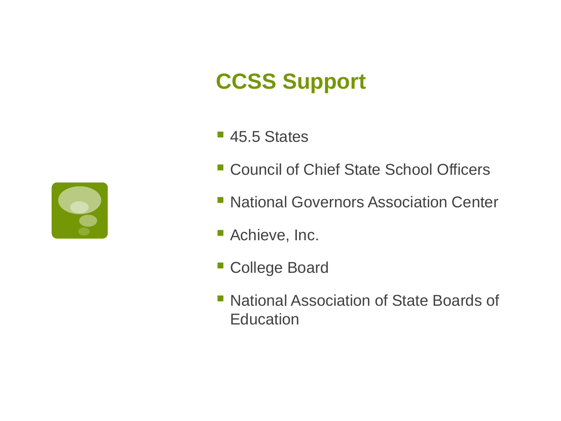# **CCSS Support**



- Council of Chief State School Officers
- **National Governors Association Center**
- Achieve, Inc.
- College Board
- National Association of State Boards of **Education**

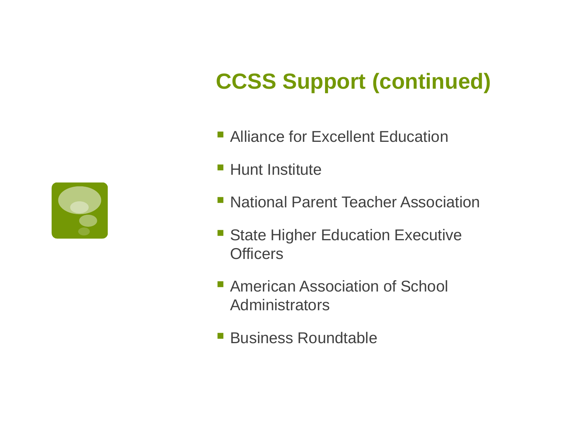# **CCSS Support (continued)**

- **Alliance for Excellent Education**
- **Hunt Institute**
- National Parent Teacher Association
- **State Higher Education Executive Officers**
- **American Association of School Administrators**
- **Business Roundtable**

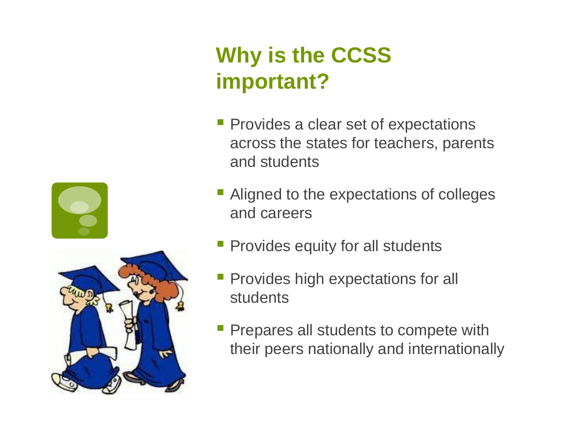# **Why is the CCSS important?**

- Provides a clear set of expectations across the states for teachers, parents and students
- Aligned to the expectations of colleges and careers
- Provides equity for all students
- Provides high expectations for all **students**
- Prepares all students to compete with their peers nationally and internationally

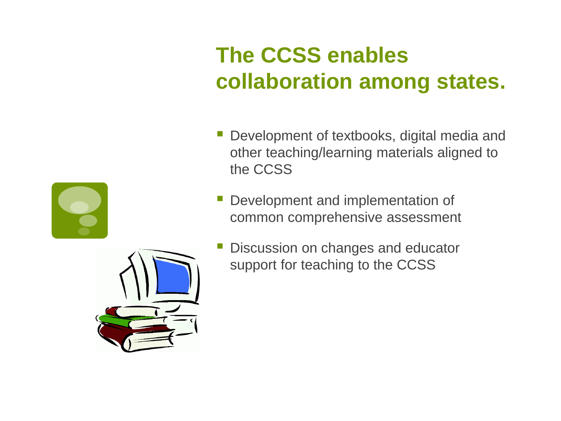# **The CCSS enables collaboration among states.**

- Development of textbooks, digital media and other teaching/learning materials aligned to the CCSS
- Development and implementation of common comprehensive assessment
- Discussion on changes and educator support for teaching to the CCSS

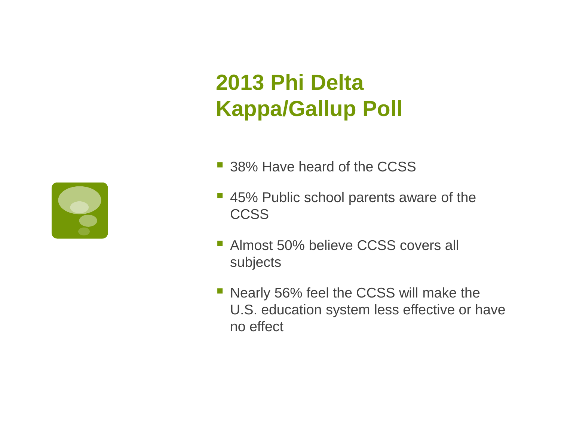# **2013 Phi Delta Kappa/Gallup Poll**

- 38% Have heard of the CCSS
- 45% Public school parents aware of the **CCSS**
- **Almost 50% believe CCSS covers all** subjects
- **Nearly 56% feel the CCSS will make the** U.S. education system less effective or have no effect

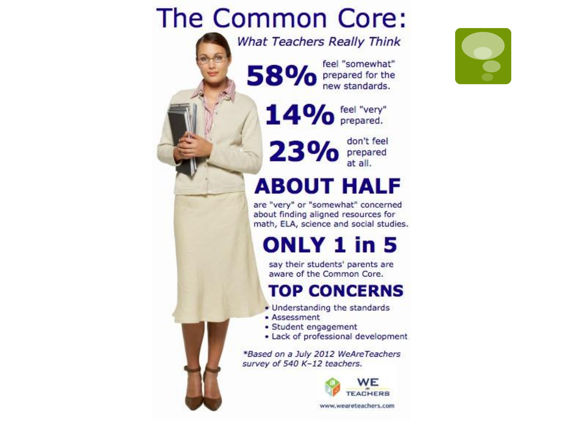# The Common Core:

58% feel "somewhat"<br>mepared for the new standards.

**What Teachers Really Think** 

14% Freel "very"

23% don't feel

## **ABOUT HALF**

are "very" or "somewhat" concerned about finding aligned resources for math, ELA, science and social studies.

# **ONLY 1 in 5**

say their students' parents are aware of the Common Core.

### **TOP CONCERNS**

- . Understanding the standards
- Assessment
- Student engagement
- Lack of professional development

\*Based on a July 2012 WeAreTeachers survey of 540 K-12 teachers.





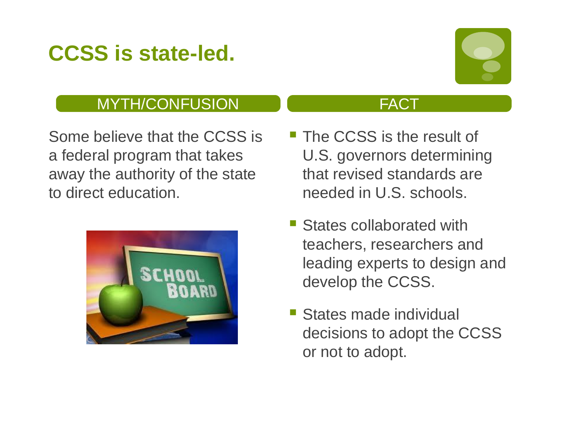# **CCSS is state-led.**



### MYTH/CONFUSION

Some believe that the CCSS is a federal program that takes away the authority of the state to direct education.



- **The CCSS is the result of** U.S. governors determining that revised standards are needed in U.S. schools.
- States collaborated with teachers, researchers and leading experts to design and develop the CCSS.
- States made individual decisions to adopt the CCSS or not to adopt.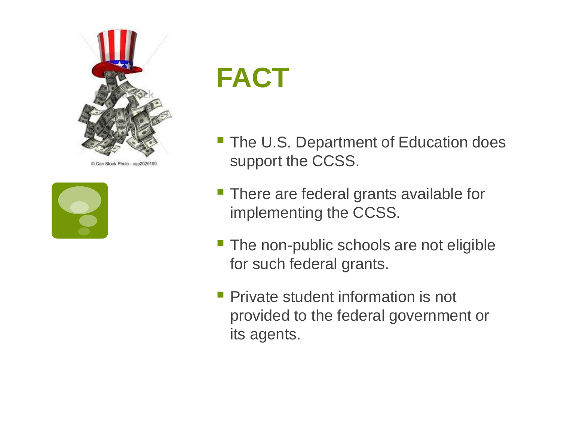

an Stock Photo - csp202918



- The U.S. Department of Education does support the CCSS.
- **There are federal grants available for** implementing the CCSS.
- **The non-public schools are not eligible** for such federal grants.
- Private student information is not provided to the federal government or its agents.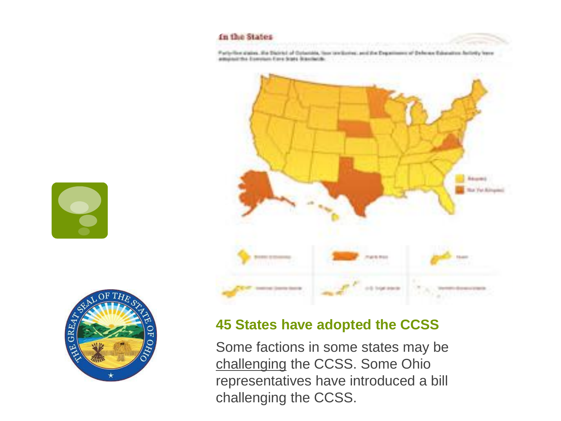#### In the States

Party-line states. He District of Cytanida, four anticrims and the Department of Defense Education factority trans amplair the Esercian Earn State Bandada.



# **45 States have adopted the CCSS**

Some factions in some states may be challenging the CCSS. Some Ohio representatives have introduced a bill challenging the CCSS.



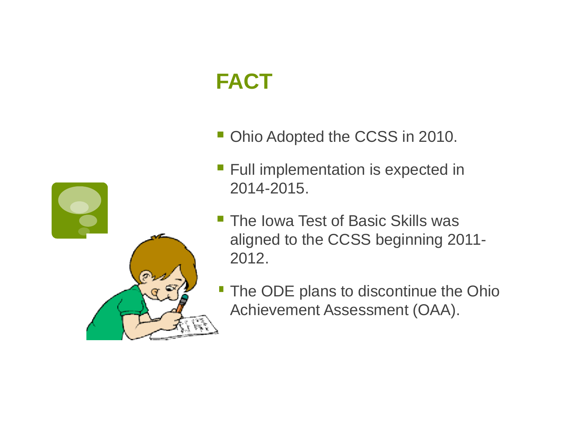- Ohio Adopted the CCSS in 2010.
- **Full implementation is expected in** 2014-2015.
- **The Iowa Test of Basic Skills was** aligned to the CCSS beginning 2011- 2012.
- **The ODE plans to discontinue the Ohio** Achievement Assessment (OAA).

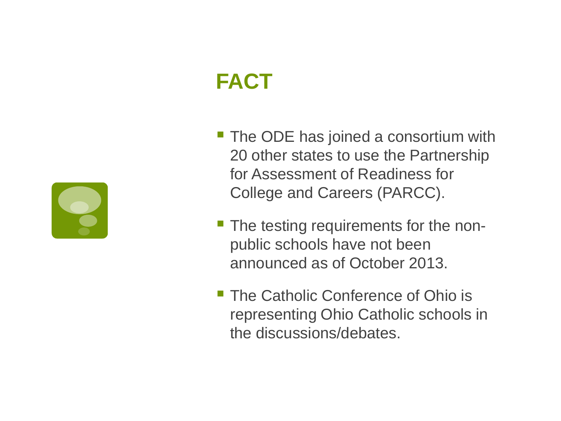- The ODE has joined a consortium with 20 other states to use the Partnership for Assessment of Readiness for College and Careers (PARCC).
- **The testing requirements for the non**public schools have not been announced as of October 2013.
- **The Catholic Conference of Ohio is** representing Ohio Catholic schools in the discussions/debates.

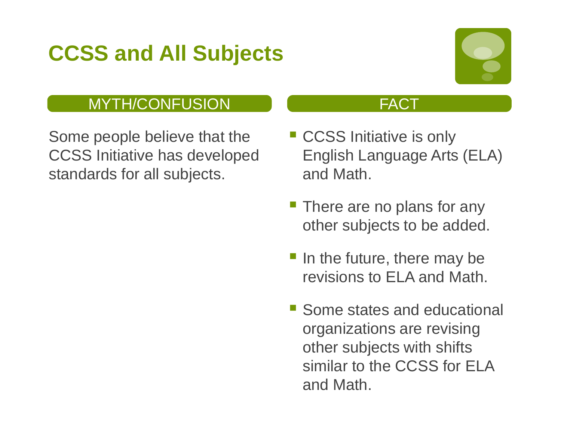# **CCSS and All Subjects**



### MYTH/CONFUSION

Some people believe that the CCSS Initiative has developed standards for all subjects.

- **CCSS Initiative is only** English Language Arts (ELA) and Math.
- **There are no plans for any** other subjects to be added.
- In the future, there may be revisions to ELA and Math.
- **Some states and educational** organizations are revising other subjects with shifts similar to the CCSS for ELA and Math.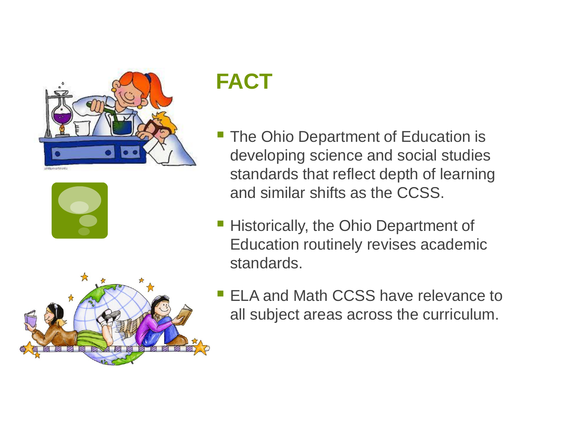





- **The Ohio Department of Education is** developing science and social studies standards that reflect depth of learning and similar shifts as the CCSS.
- **Historically, the Ohio Department of** Education routinely revises academic standards.
- ELA and Math CCSS have relevance to all subject areas across the curriculum.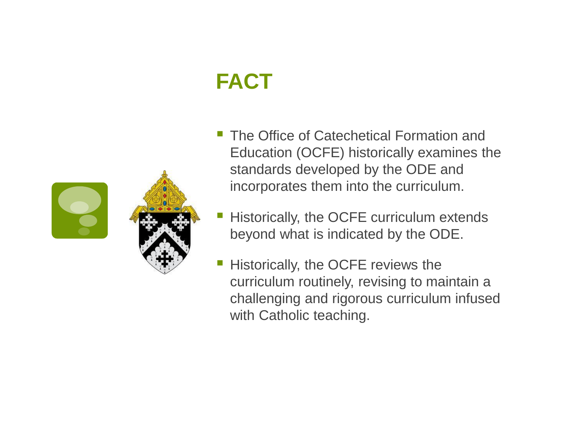



- The Office of Catechetical Formation and Education (OCFE) historically examines the standards developed by the ODE and incorporates them into the curriculum.
- Historically, the OCFE curriculum extends beyond what is indicated by the ODE.
- Historically, the OCFE reviews the curriculum routinely, revising to maintain a challenging and rigorous curriculum infused with Catholic teaching.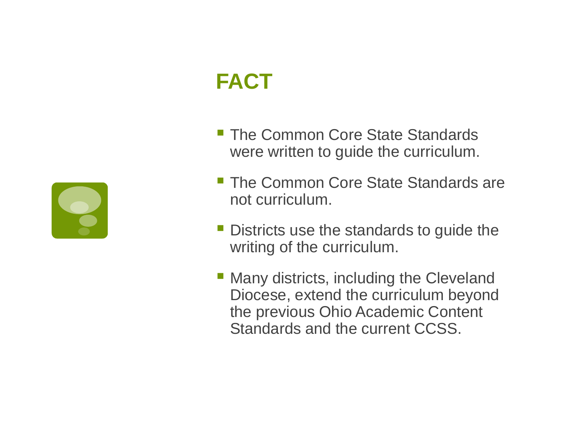- **The Common Core State Standards** were written to guide the curriculum.
- **The Common Core State Standards are** not curriculum.
- Districts use the standards to guide the writing of the curriculum.
- Many districts, including the Cleveland Diocese, extend the curriculum beyond the previous Ohio Academic Content Standards and the current CCSS.

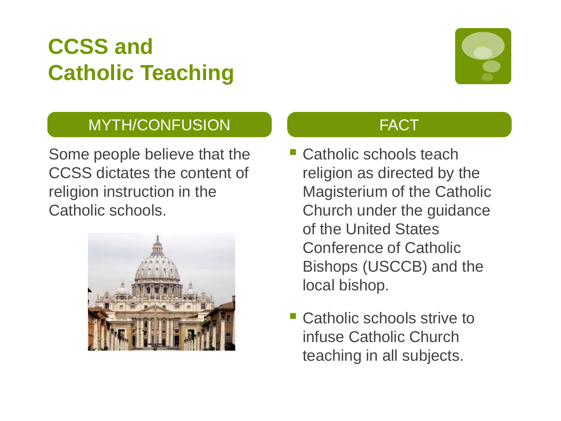# **CCSS and Catholic Teaching**



### MYTH/CONFUSION

Some people believe that the CCSS dictates the content of religion instruction in the Catholic schools.



- Catholic schools teach religion as directed by the Magisterium of the Catholic Church under the guidance of the United States Conference of Catholic Bishops (USCCB) and the local bishop.
- Catholic schools strive to infuse Catholic Church teaching in all subjects.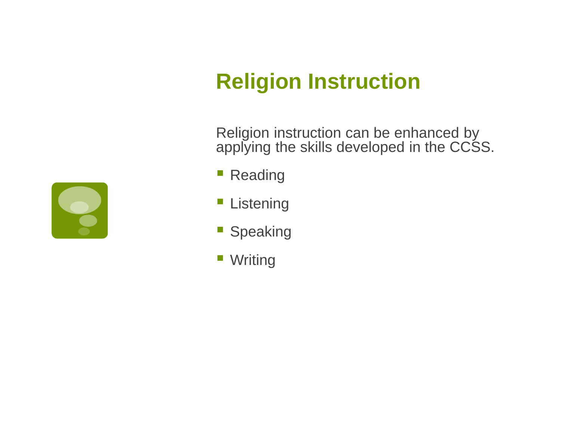# **Religion Instruction**

Religion instruction can be enhanced by applying the skills developed in the CCSS.

- **Reading**
- **Listening**
- **Speaking**
- Writing

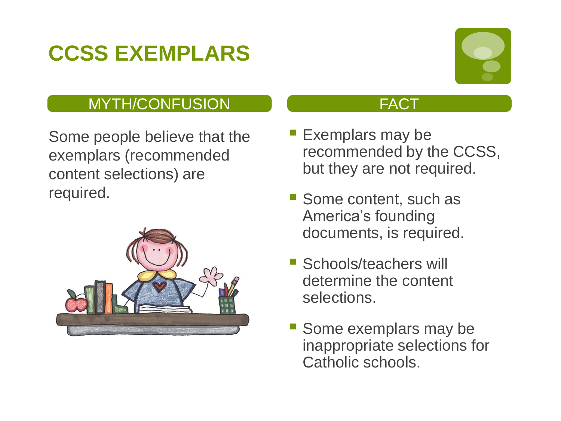# **CCSS EXEMPLARS**



### MYTH/CONFUSION

Some people believe that the exemplars (recommended content selections) are required.



- Exemplars may be recommended by the CCSS, but they are not required.
- Some content, such as America's founding documents, is required.
- Schools/teachers will determine the content selections.
- **Some exemplars may be** inappropriate selections for Catholic schools.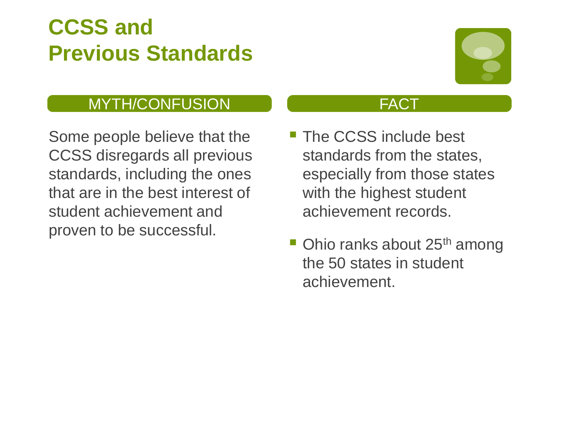# **CCSS and Previous Standards**



### MYTH/CONFUSION

Some people believe that the CCSS disregards all previous standards, including the ones that are in the best interest of student achievement and proven to be successful.

- **The CCSS include best** standards from the states, especially from those states with the highest student achievement records.
- Ohio ranks about 25<sup>th</sup> among the 50 states in student achievement.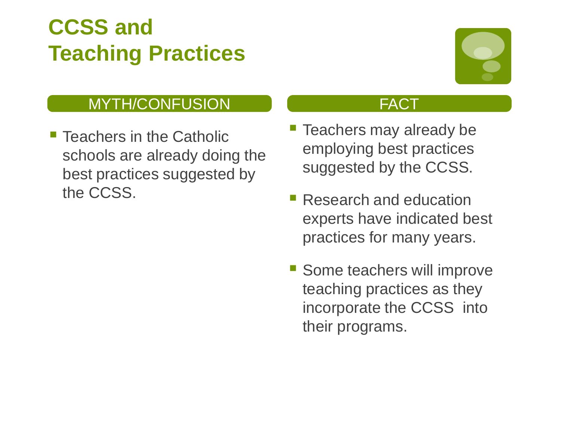# **CCSS and Teaching Practices**



### MYTH/CONFUSION

 $\blacksquare$  Teachers in the Catholic schools are already doing the best practices suggested by the CCSS.

- **Teachers may already be** employing best practices suggested by the CCSS.
- **Research and education** experts have indicated best practices for many years.
- **Some teachers will improve** teaching practices as they incorporate the CCSS into their programs.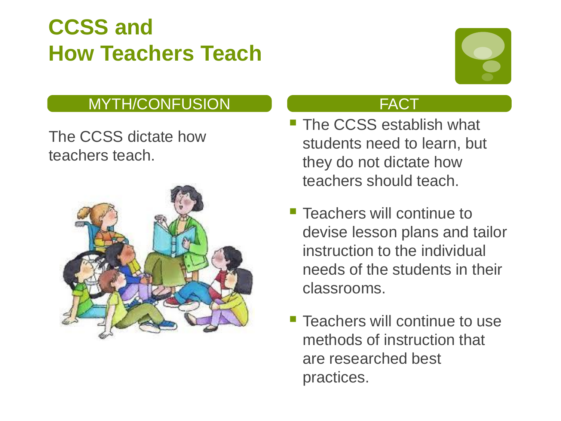# **CCSS and How Teachers Teach**



### MYTH/CONFUSION

The CCSS dictate how teachers teach.



- The CCSS establish what students need to learn, but they do not dictate how teachers should teach.
- **Teachers will continue to** devise lesson plans and tailor instruction to the individual needs of the students in their classrooms.
- **Teachers will continue to use** methods of instruction that are researched best practices.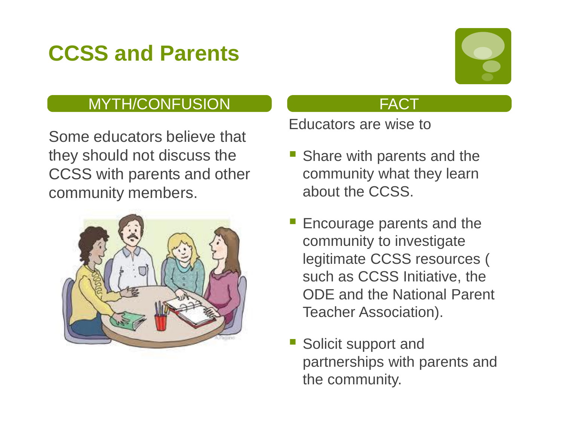# **CCSS and Parents**



### MYTH/CONFUSION

Some educators believe that they should not discuss the CCSS with parents and other community members.



#### **FACT**

Educators are wise to

- **Share with parents and the** community what they learn about the CCSS.
- **Encourage parents and the** community to investigate legitimate CCSS resources ( such as CCSS Initiative, the ODE and the National Parent Teacher Association).
- Solicit support and partnerships with parents and the community.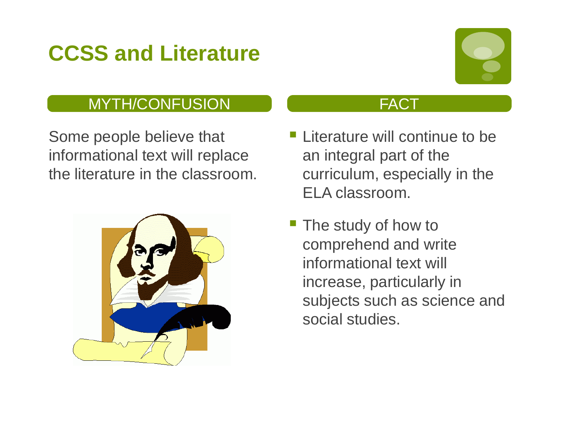# **CCSS and Literature**



### MYTH/CONFUSION

Some people believe that informational text will replace the literature in the classroom.



- **Literature will continue to be** an integral part of the curriculum, especially in the ELA classroom.
- **The study of how to** comprehend and write informational text will increase, particularly in subjects such as science and social studies.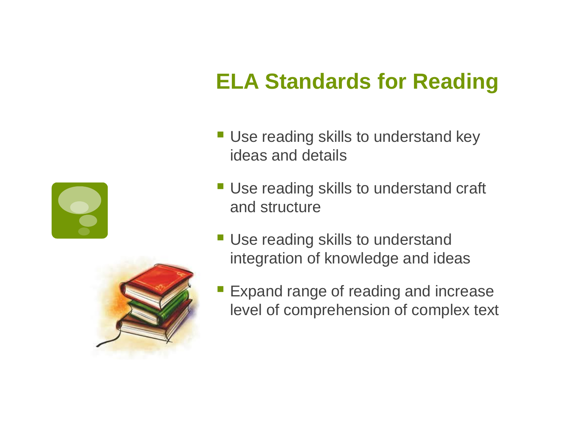# **ELA Standards for Reading**

- **Use reading skills to understand key** ideas and details
- **Use reading skills to understand craft** and structure
- **Use reading skills to understand** integration of knowledge and ideas
- Expand range of reading and increase level of comprehension of complex text



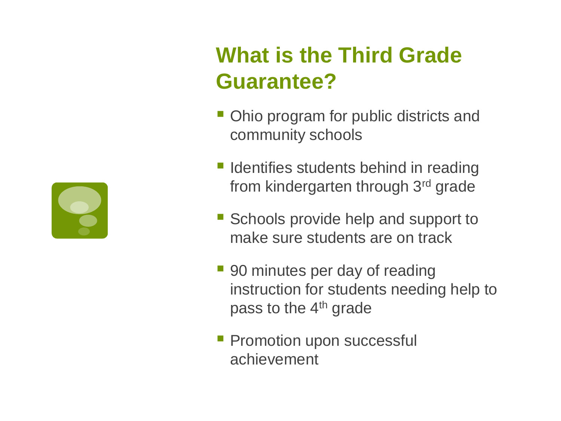

# **What is the Third Grade Guarantee?**

- **Ohio program for public districts and** community schools
- **If Identifies students behind in reading** from kindergarten through 3rd grade
- **Schools provide help and support to** make sure students are on track
- 90 minutes per day of reading instruction for students needing help to pass to the 4<sup>th</sup> grade
- **Promotion upon successful** achievement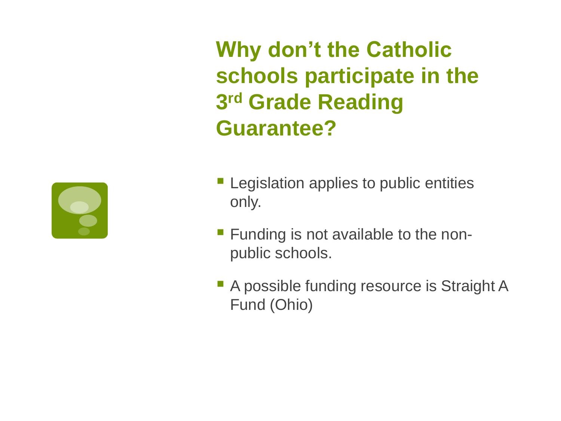**Why don't the Catholic schools participate in the 3 rd Grade Reading Guarantee?**



- **-** Legislation applies to public entities only.
- **Funding is not available to the non**public schools.
- A possible funding resource is Straight A Fund (Ohio)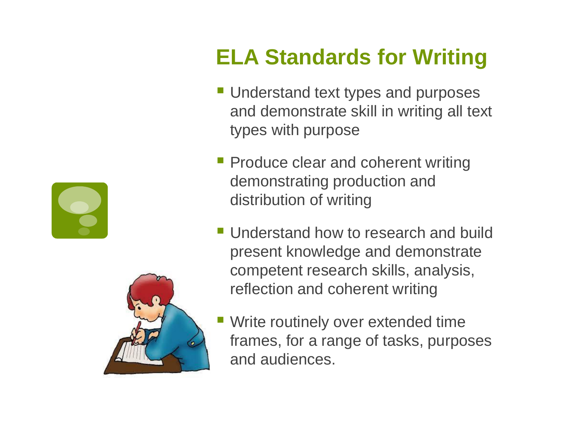



# **ELA Standards for Writing**

- **Understand text types and purposes** and demonstrate skill in writing all text types with purpose
- **Produce clear and coherent writing** demonstrating production and distribution of writing
- **Understand how to research and build** present knowledge and demonstrate competent research skills, analysis, reflection and coherent writing
- Write routinely over extended time frames, for a range of tasks, purposes and audiences.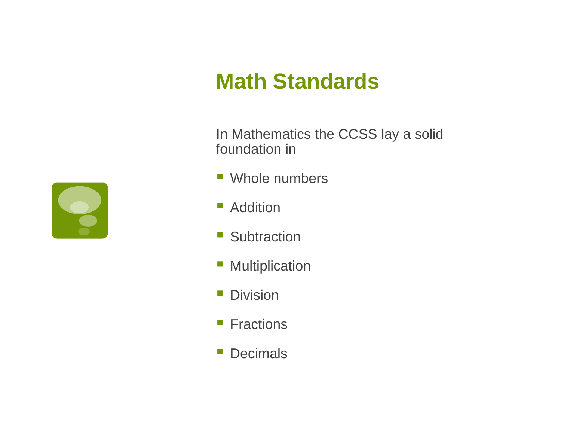# **Math Standards**

In Mathematics the CCSS lay a solid foundation in

- Whole numbers
- Addition
- Subtraction
- **Multiplication**
- **Division**
- **Fractions**
- Decimals

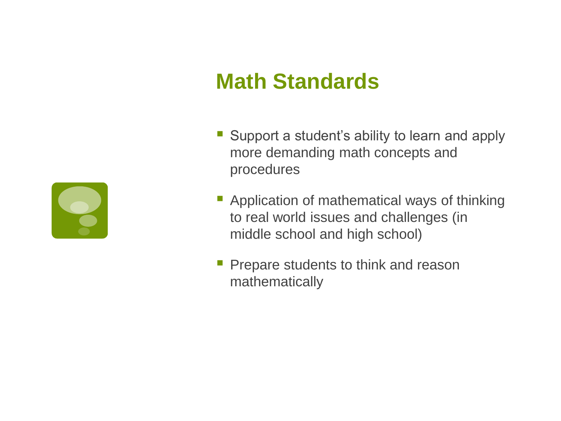# **Math Standards**

- Support a student's ability to learn and apply more demanding math concepts and procedures
- **Application of mathematical ways of thinking** to real world issues and challenges (in middle school and high school)
- **Prepare students to think and reason** mathematically

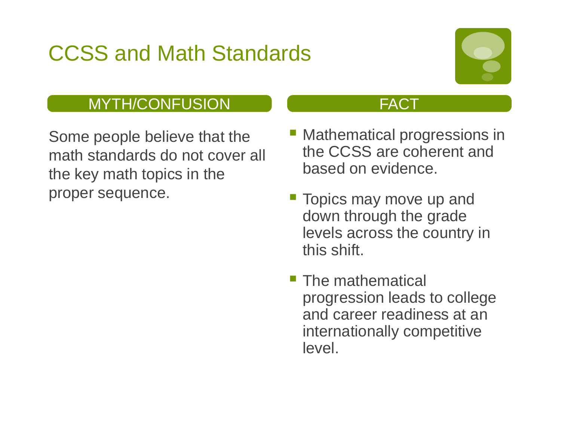# CCSS and Math Standards



### MYTH/CONFUSION

Some people believe that the math standards do not cover all the key math topics in the proper sequence.

- Mathematical progressions in the CCSS are coherent and based on evidence.
- **Topics may move up and** down through the grade levels across the country in this shift.
- $\blacksquare$  The mathematical progression leads to college and career readiness at an internationally competitive level.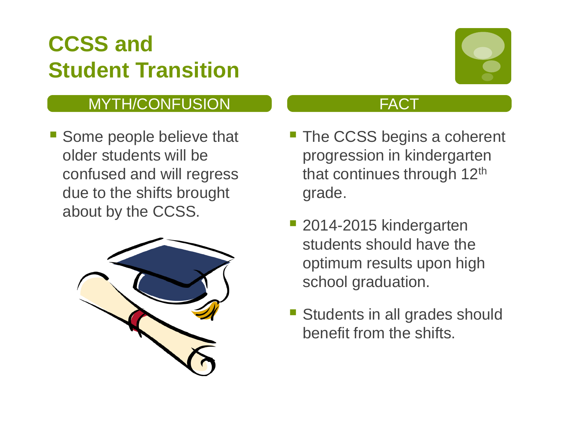# **CCSS and Student Transition**

### MYTH/CONFUSION

 Some people believe that older students will be confused and will regress due to the shifts brought about by the CCSS.





- **The CCSS begins a coherent** progression in kindergarten that continues through 12<sup>th</sup> grade.
- 2014-2015 kindergarten students should have the optimum results upon high school graduation.
- **Students in all grades should** benefit from the shifts.